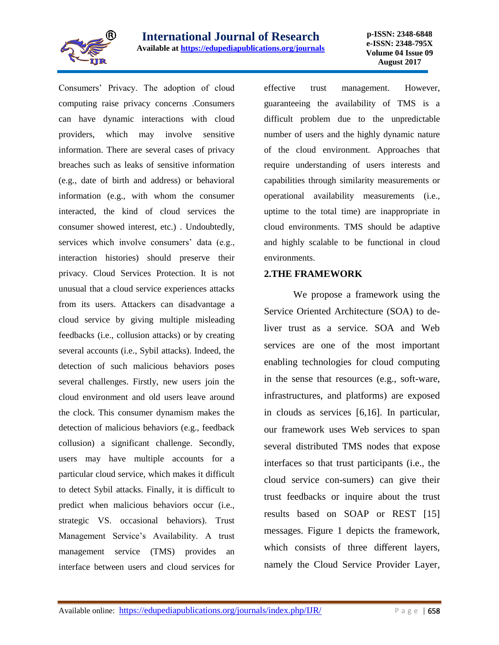

Consumers' Privacy. The adoption of cloud computing raise privacy concerns .Consumers can have dynamic interactions with cloud providers, which may involve sensitive information. There are several cases of privacy breaches such as leaks of sensitive information (e.g., date of birth and address) or behavioral information (e.g., with whom the consumer interacted, the kind of cloud services the consumer showed interest, etc.) . Undoubtedly, services which involve consumers' data (e.g., interaction histories) should preserve their privacy. Cloud Services Protection. It is not unusual that a cloud service experiences attacks from its users. Attackers can disadvantage a cloud service by giving multiple misleading feedbacks (i.e., collusion attacks) or by creating several accounts (i.e., Sybil attacks). Indeed, the detection of such malicious behaviors poses several challenges. Firstly, new users join the cloud environment and old users leave around the clock. This consumer dynamism makes the detection of malicious behaviors (e.g., feedback collusion) a significant challenge. Secondly, users may have multiple accounts for a particular cloud service, which makes it difficult to detect Sybil attacks. Finally, it is difficult to predict when malicious behaviors occur (i.e., strategic VS. occasional behaviors). Trust Management Service's Availability. A trust management service (TMS) provides an interface between users and cloud services for

effective trust management. However, guaranteeing the availability of TMS is a difficult problem due to the unpredictable number of users and the highly dynamic nature of the cloud environment. Approaches that require understanding of users interests and capabilities through similarity measurements or operational availability measurements (i.e., uptime to the total time) are inappropriate in cloud environments. TMS should be adaptive and highly scalable to be functional in cloud environments.

#### **2.THE FRAMEWORK**

We propose a framework using the Service Oriented Architecture (SOA) to deliver trust as a service. SOA and Web services are one of the most important enabling technologies for cloud computing in the sense that resources (e.g., soft-ware, infrastructures, and platforms) are exposed in clouds as services [6,16]. In particular, our framework uses Web services to span several distributed TMS nodes that expose interfaces so that trust participants (i.e., the cloud service con-sumers) can give their trust feedbacks or inquire about the trust results based on SOAP or REST [15] messages. Figure 1 depicts the framework, which consists of three different layers, namely the Cloud Service Provider Layer,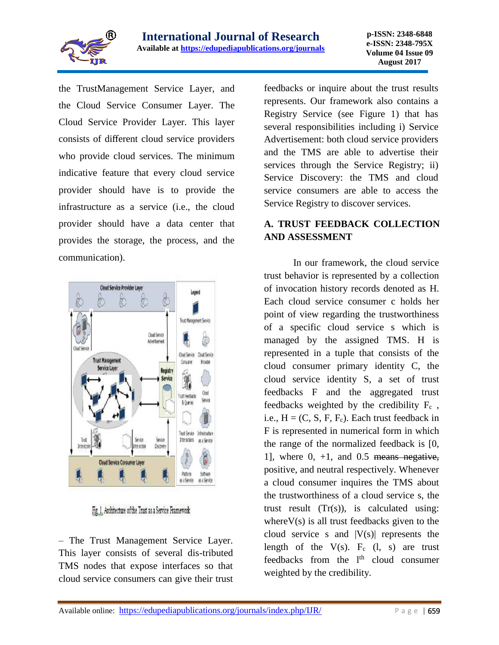

the TrustManagement Service Layer, and the Cloud Service Consumer Layer. The Cloud Service Provider Layer. This layer consists of different cloud service providers who provide cloud services. The minimum indicative feature that every cloud service provider should have is to provide the infrastructure as a service (i.e., the cloud provider should have a data center that provides the storage, the process, and the communication).



Fig. 1. Architecture of the Trust as a Service Framework

– The Trust Management Service Layer. This layer consists of several dis-tributed TMS nodes that expose interfaces so that cloud service consumers can give their trust feedbacks or inquire about the trust results represents. Our framework also contains a Registry Service (see Figure 1) that has several responsibilities including i) Service Advertisement: both cloud service providers and the TMS are able to advertise their services through the Service Registry; ii) Service Discovery: the TMS and cloud service consumers are able to access the Service Registry to discover services.

# **A. TRUST FEEDBACK COLLECTION AND ASSESSMENT**

In our framework, the cloud service trust behavior is represented by a collection of invocation history records denoted as H. Each cloud service consumer c holds her point of view regarding the trustworthiness of a specific cloud service s which is managed by the assigned TMS. H is represented in a tuple that consists of the cloud consumer primary identity C, the cloud service identity S, a set of trust feedbacks F and the aggregated trust feedbacks weighted by the credibility F<sup>c</sup> , i.e.,  $H = (C, S, F, F_c)$ . Each trust feedback in F is represented in numerical form in which the range of the normalized feedback is [0, 1], where  $0, +1$ , and  $0.5$  means negative, positive, and neutral respectively. Whenever a cloud consumer inquires the TMS about the trustworthiness of a cloud service s, the trust result  $(Tr(s))$ , is calculated using: where  $V(s)$  is all trust feedbacks given to the cloud service s and  $|V(s)|$  represents the length of the  $V(s)$ .  $F_c$  (l, s) are trust feedbacks from the l<sup>th</sup> cloud consumer weighted by the credibility.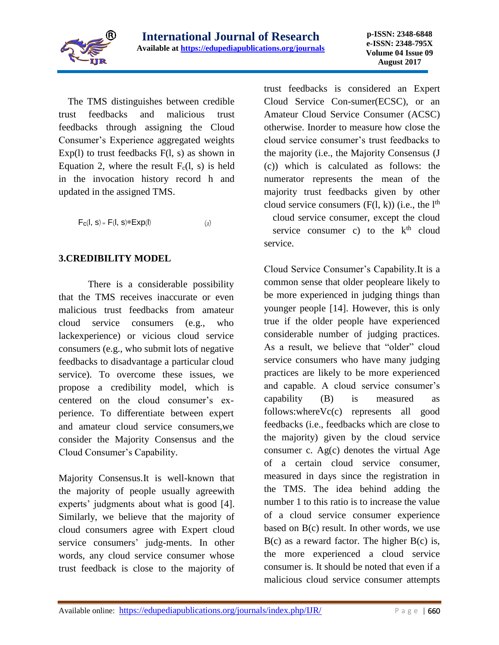

The TMS distinguishes between credible trust feedbacks and malicious trust feedbacks through assigning the Cloud Consumer's Experience aggregated weights  $Exp(1)$  to trust feedbacks  $F(1, s)$  as shown in Equation 2, where the result  $F_c(1, s)$  is held in the invocation history record h and updated in the assigned TMS.

 $F_c(I, s) = F(I, s) * Exp(I)$  (2)

## **3.CREDIBILITY MODEL**

There is a considerable possibility that the TMS receives inaccurate or even malicious trust feedbacks from amateur cloud service consumers (e.g., who lackexperience) or vicious cloud service consumers (e.g., who submit lots of negative feedbacks to disadvantage a particular cloud service). To overcome these issues, we propose a credibility model, which is centered on the cloud consumer's experience. To differentiate between expert and amateur cloud service consumers,we consider the Majority Consensus and the Cloud Consumer's Capability.

Majority Consensus.It is well-known that the majority of people usually agreewith experts' judgments about what is good [4]. Similarly, we believe that the majority of cloud consumers agree with Expert cloud service consumers' judg-ments. In other words, any cloud service consumer whose trust feedback is close to the majority of

trust feedbacks is considered an Expert Cloud Service Con-sumer(ECSC), or an Amateur Cloud Service Consumer (ACSC) otherwise. Inorder to measure how close the cloud service consumer's trust feedbacks to the majority (i.e., the Majority Consensus (J (c)) which is calculated as follows: the numerator represents the mean of the majority trust feedbacks given by other cloud service consumers  $(F(l, k))$  (i.e., the  $l<sup>th</sup>$ cloud service consumer, except the cloud service consumer c) to the  $k<sup>th</sup>$  cloud service.

Cloud Service Consumer's Capability.It is a common sense that older peopleare likely to be more experienced in judging things than younger people [14]. However, this is only true if the older people have experienced considerable number of judging practices. As a result, we believe that "older" cloud service consumers who have many judging practices are likely to be more experienced and capable. A cloud service consumer's capability (B) is measured as follows:whereVc(c) represents all good feedbacks (i.e., feedbacks which are close to the majority) given by the cloud service consumer c. Ag(c) denotes the virtual Age of a certain cloud service consumer, measured in days since the registration in the TMS. The idea behind adding the number 1 to this ratio is to increase the value of a cloud service consumer experience based on B(c) result. In other words, we use  $B(c)$  as a reward factor. The higher  $B(c)$  is, the more experienced a cloud service consumer is. It should be noted that even if a malicious cloud service consumer attempts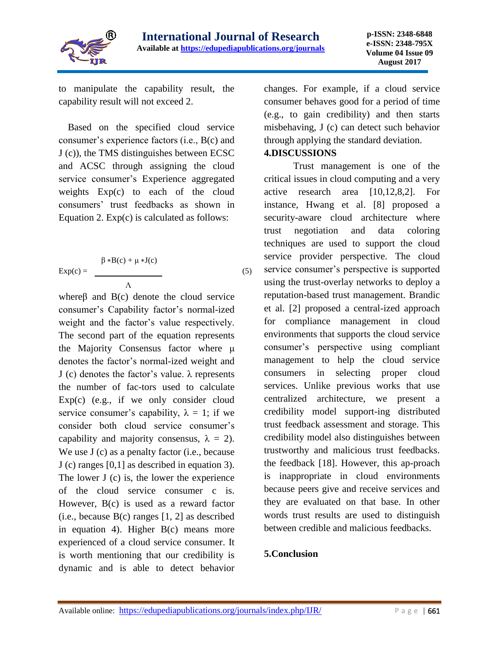

(5)

to manipulate the capability result, the capability result will not exceed 2.

Based on the specified cloud service consumer's experience factors (i.e., B(c) and J (c)), the TMS distinguishes between ECSC and ACSC through assigning the cloud service consumer's Experience aggregated weights Exp(c) to each of the cloud consumers' trust feedbacks as shown in Equation 2. Exp(c) is calculated as follows:

$$
Exp(c) = \frac{\beta * B(c) + \mu * J(c)}{\Lambda}
$$

whereβ and B(c) denote the cloud service consumer's Capability factor's normal-ized weight and the factor's value respectively. The second part of the equation represents the Majority Consensus factor where μ denotes the factor's normal-ized weight and J (c) denotes the factor's value.  $\lambda$  represents the number of fac-tors used to calculate  $Exp(c)$  (e.g., if we only consider cloud service consumer's capability,  $\lambda = 1$ ; if we consider both cloud service consumer's capability and majority consensus,  $\lambda = 2$ ). We use J (c) as a penalty factor (i.e., because J (c) ranges [0,1] as described in equation 3). The lower J (c) is, the lower the experience of the cloud service consumer c is. However, B(c) is used as a reward factor (i.e., because B(c) ranges [1, 2] as described in equation 4). Higher B(c) means more experienced of a cloud service consumer. It is worth mentioning that our credibility is dynamic and is able to detect behavior

changes. For example, if a cloud service consumer behaves good for a period of time (e.g., to gain credibility) and then starts misbehaving, J (c) can detect such behavior through applying the standard deviation.

## **4.DISCUSSIONS**

Trust management is one of the critical issues in cloud computing and a very active research area [10,12,8,2]. For instance, Hwang et al. [8] proposed a security-aware cloud architecture where trust negotiation and data coloring techniques are used to support the cloud service provider perspective. The cloud service consumer's perspective is supported using the trust-overlay networks to deploy a reputation-based trust management. Brandic et al. [2] proposed a central-ized approach for compliance management in cloud environments that supports the cloud service consumer's perspective using compliant management to help the cloud service consumers in selecting proper cloud services. Unlike previous works that use centralized architecture, we present a credibility model support-ing distributed trust feedback assessment and storage. This credibility model also distinguishes between trustworthy and malicious trust feedbacks. the feedback [18]. However, this ap-proach is inappropriate in cloud environments because peers give and receive services and they are evaluated on that base. In other words trust results are used to distinguish between credible and malicious feedbacks.

## **5.Conclusion**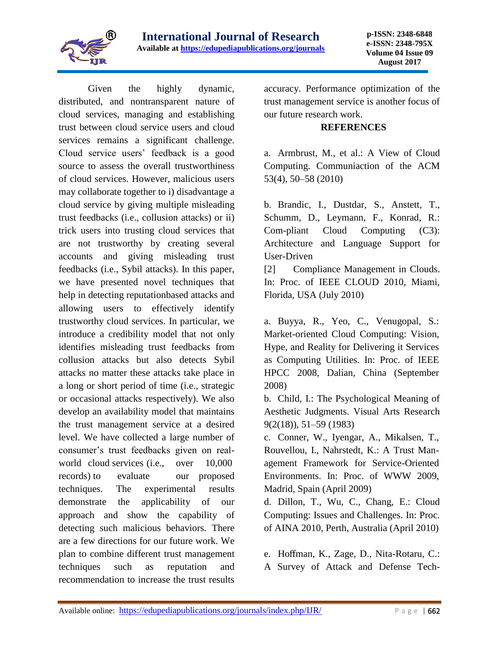

Given the highly dynamic, distributed, and nontransparent nature of cloud services, managing and establishing trust between cloud service users and cloud services remains a significant challenge. Cloud service users' feedback is a good source to assess the overall trustworthiness of cloud services. However, malicious users may collaborate together to i) disadvantage a cloud service by giving multiple misleading trust feedbacks (i.e., collusion attacks) or ii) trick users into trusting cloud services that are not trustworthy by creating several accounts and giving misleading trust feedbacks (i.e., Sybil attacks). In this paper, we have presented novel techniques that help in detecting reputationbased attacks and allowing users to effectively identify trustworthy cloud services. In particular, we introduce a credibility model that not only identifies misleading trust feedbacks from collusion attacks but also detects Sybil attacks no matter these attacks take place in a long or short period of time (i.e., strategic or occasional attacks respectively). We also develop an availability model that maintains the trust management service at a desired level. We have collected a large number of consumer's trust feedbacks given on realworld cloud services (i.e., over 10,000 records) to evaluate our proposed techniques. The experimental results demonstrate the applicability of our approach and show the capability of detecting such malicious behaviors. There are a few directions for our future work. We plan to combine different trust management techniques such as reputation and recommendation to increase the trust results

accuracy. Performance optimization of the trust management service is another focus of our future research work.

#### **REFERENCES**

a. Armbrust, M., et al.: A View of Cloud Computing. Communiaction of the ACM 53(4), 50–58 (2010)

b. Brandic, I., Dustdar, S., Anstett, T., Schumm, D., Leymann, F., Konrad, R.: Com-pliant Cloud Computing (C3): Architecture and Language Support for User-Driven

[2] Compliance Management in Clouds. In: Proc. of IEEE CLOUD 2010, Miami, Florida, USA (July 2010)

a. Buyya, R., Yeo, C., Venugopal, S.: Market-oriented Cloud Computing: Vision, Hype, and Reality for Delivering it Services as Computing Utilities. In: Proc. of IEEE HPCC 2008, Dalian, China (September 2008)

b. Child, I.: The Psychological Meaning of Aesthetic Judgments. Visual Arts Research 9(2(18)), 51–59 (1983)

c. Conner, W., Iyengar, A., Mikalsen, T., Rouvellou, I., Nahrstedt, K.: A Trust Management Framework for Service-Oriented Environments. In: Proc. of WWW 2009, Madrid, Spain (April 2009)

d. Dillon, T., Wu, C., Chang, E.: Cloud Computing: Issues and Challenges. In: Proc. of AINA 2010, Perth, Australia (April 2010)

e. Hoffman, K., Zage, D., Nita-Rotaru, C.: A Survey of Attack and Defense Tech-